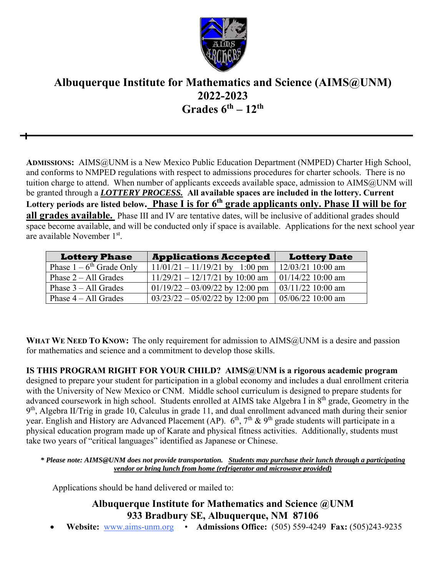

## **Albuquerque Institute for Mathematics and Science (AIMS@UNM) 2022-2023 Grades 6th – 12th**

**ADMISSIONS:** AIMS@UNM is a New Mexico Public Education Department (NMPED) Charter High School, and conforms to NMPED regulations with respect to admissions procedures for charter schools. There is no tuition charge to attend. When number of applicants exceeds available space, admission to AIMS@UNM will be granted through a *LOTTERY PROCESS.* **All available spaces are included in the lottery. Current Lottery periods are listed below. Phase I is for 6th grade applicants only. Phase II will be for all grades available.** Phase III and IV are tentative dates, will be inclusive of additional grades should space become available, and will be conducted only if space is available. Applications for the next school year are available November 1st.

| <b>Lottery Phase</b>          | <b>Applications Accepted</b>      | <b>Lottery Date</b> |
|-------------------------------|-----------------------------------|---------------------|
| Phase $1 - 6^{th}$ Grade Only | $11/01/21 - 11/19/21$ by 1:00 pm  | 12/03/21 10:00 am   |
| Phase $2 - All$ Grades        | $11/29/21 - 12/17/21$ by 10:00 am | $01/14/22$ 10:00 am |
| Phase $3 - All$ Grades        | $01/19/22 - 03/09/22$ by 12:00 pm | $03/11/22$ 10:00 am |
| Phase $4 - All$ Grades        | $03/23/22 - 05/02/22$ by 12:00 pm | $05/06/22$ 10:00 am |

WHAT WE NEED TO KNOW: The only requirement for admission to AIMS@UNM is a desire and passion for mathematics and science and a commitment to develop those skills.

**IS THIS PROGRAM RIGHT FOR YOUR CHILD? AIMS@UNM is a rigorous academic program** designed to prepare your student for participation in a global economy and includes a dual enrollment criteria with the University of New Mexico or CNM. Middle school curriculum is designed to prepare students for advanced coursework in high school. Students enrolled at AIMS take Algebra I in 8<sup>th</sup> grade, Geometry in the  $9<sup>th</sup>$ , Algebra II/Trig in grade 10, Calculus in grade 11, and dual enrollment advanced math during their senior year. English and History are Advanced Placement (AP).  $6<sup>th</sup>$ ,  $7<sup>th</sup>$  & 9<sup>th</sup> grade students will participate in a physical education program made up of Karate and physical fitness activities. Additionally, students must take two years of "critical languages" identified as Japanese or Chinese.

*\* Please note: AIMS@UNM does not provide transportation. Students may purchase their lunch through a participating vendor or bring lunch from home (refrigerator and microwave provided)* 

Applications should be hand delivered or mailed to:

**Albuquerque Institute for Mathematics and Science @UNM 933 Bradbury SE, Albuquerque, NM 87106** 

**Website:** www.aims-unm.org • **Admissions Office:** (505) 559-4249 **Fax:** (505)243-9235